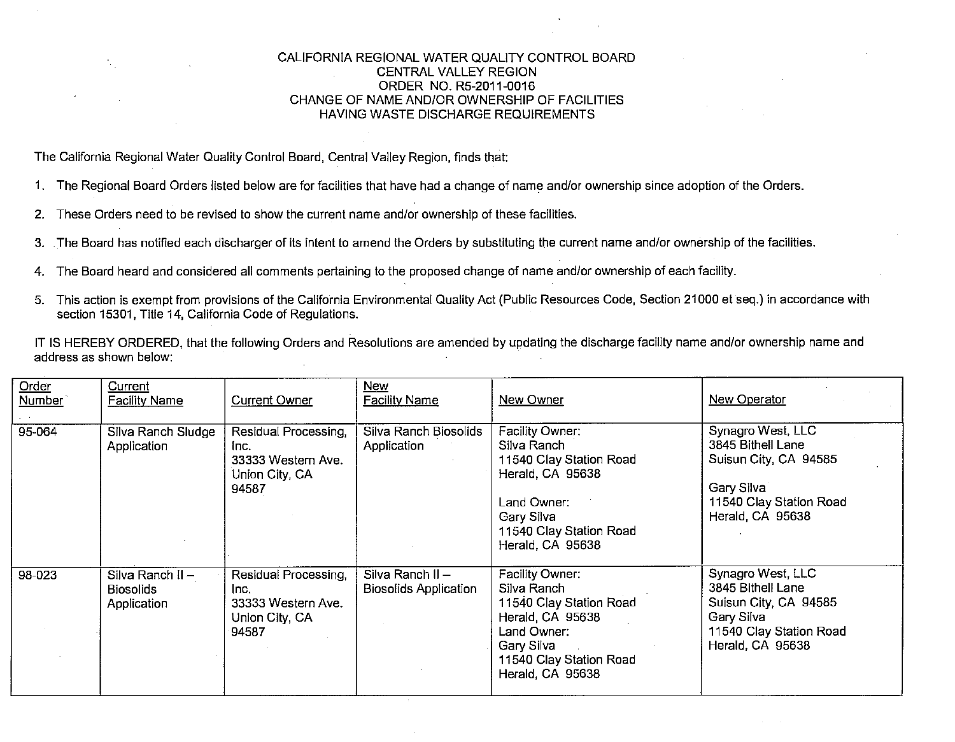## CALIFORNIA REGIONAL WATER QUALITY CONTROL BOARD CENTRAL VALLEY REGION ORDER NO. R5-2011-0016 CHANGE OF NAME AND/OR OWNERSHIP OF FACILITIES HAVING WASTE DISCHARGE REQUIREMENTS

The California Regional Water Quality Control Board, Central Valley Region, finds that:

- 1. The Regional Board Orders listed below are for facilities that have had a change of name and/or ownership since adoption of the Orders.
- 2. These Orders need to be revised to show the current name and/or ownership of these facilities.
- 3. The Board has notified each discharger of its intent to amend the Orders by substituting the current name and/or ownership of the facilities.
- 4. The Board heard and considered all comments pertaining to the proposed change of name and/or ownership of each facility.
- 5. This action is exempt from provisions of the California Environmental Quality Act (Public Resources Code, Section 21000 et seq.) in accordance with section 15301, Title 14, California Code of Regulations.

IT IS HEREBY ORDERED, that the following Orders and Resolutions are amended by updating the discharge facility name and/or ownership name and address as shown below:

| Order<br>Number | Current<br><b>Facility Name</b>                     | <b>Current Owner</b>                                                          | <b>New</b><br><b>Facility Name</b>                 | New Owner                                                                                                                                                 | New Operator                                                                                                                 |
|-----------------|-----------------------------------------------------|-------------------------------------------------------------------------------|----------------------------------------------------|-----------------------------------------------------------------------------------------------------------------------------------------------------------|------------------------------------------------------------------------------------------------------------------------------|
| 95-064          | Silva Ranch Sludge<br>Application                   | Residual Processing,<br>Inc.<br>33333 Western Ave.<br>Union City, CA<br>94587 | Silva Ranch Biosolids<br>Application               | Facility Owner:<br>Silva Ranch<br>11540 Clay Station Road<br>Herald, CA 95638<br>Land Owner:<br>Gary Silva<br>11540 Clay Station Road<br>Herald, CA 95638 | Synagro West, LLC<br>3845 Bithell Lane<br>Suisun City, CA 94585<br>Gary Silva<br>11540 Clay Station Road<br>Herald, CA 95638 |
| 98-023          | Silva Ranch II -<br><b>Biosolids</b><br>Application | Residual Processing,<br>Inc.<br>33333 Western Ave.<br>Union City, CA<br>94587 | Silva Ranch $II -$<br><b>Biosolids Application</b> | Facility Owner:<br>Silva Ranch<br>11540 Clay Station Road<br>Herald, CA 95638<br>Land Owner:<br>Gary Silva<br>11540 Clay Station Road<br>Herald, CA 95638 | Synagro West, LLC<br>3845 Bithell Lane<br>Suisun City, CA 94585<br>Gary Silva<br>11540 Clay Station Road<br>Herald, CA 95638 |